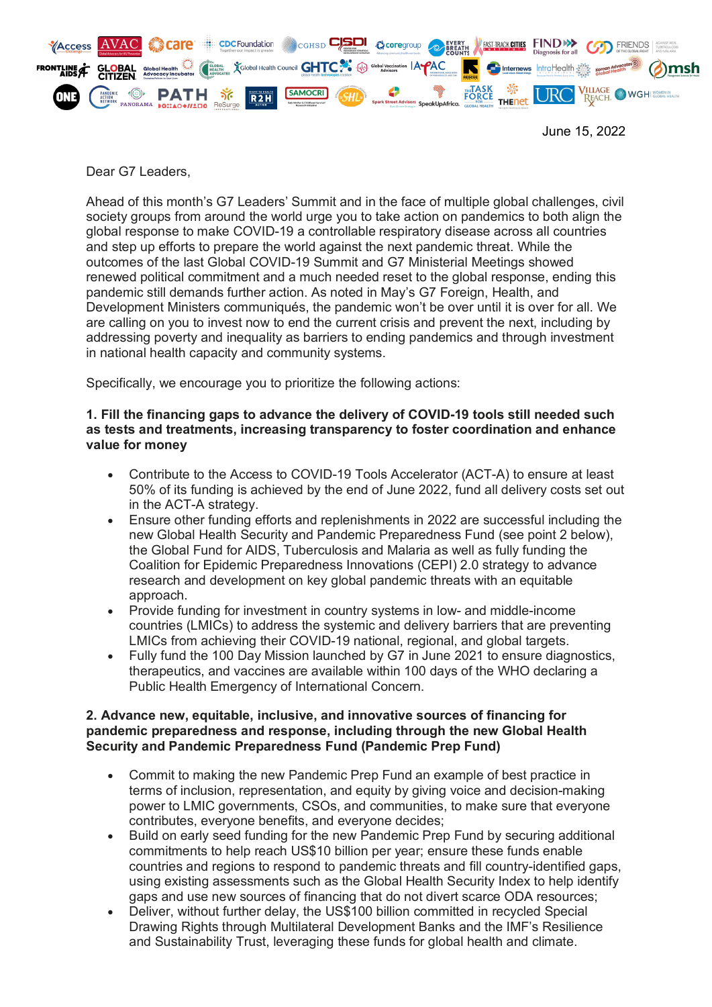

June 15, 2022

Dear G7 Leaders,

Ahead of this month's G7 Leaders' Summit and in the face of multiple global challenges, civil society groups from around the world urge you to take action on pandemics to both align the global response to make COVID-19 a controllable respiratory disease across all countries and step up efforts to prepare the world against the next pandemic threat. While the outcomes of the last Global COVID-19 Summit and G7 Ministerial Meetings showed renewed political commitment and a much needed reset to the global response, ending this pandemic still demands further action. As noted in May's G7 Foreign, Health, and Development Ministers communiqués, the pandemic won't be over until it is over for all. We are calling on you to invest now to end the current crisis and prevent the next, including by addressing poverty and inequality as barriers to ending pandemics and through investment in national health capacity and community systems.

Specifically, we encourage you to prioritize the following actions:

## **1. Fill the financing gaps to advance the delivery of COVID-19 tools still needed such as tests and treatments, increasing transparency to foster coordination and enhance value for money**

- Contribute to the Access to COVID-19 Tools Accelerator (ACT-A) to ensure at least 50% of its funding is achieved by the end of June 2022, fund all delivery costs set out in the ACT-A strategy.
- Ensure other funding efforts and replenishments in 2022 are successful including the new Global Health Security and Pandemic Preparedness Fund (see point 2 below), the Global Fund for AIDS, Tuberculosis and Malaria as well as fully funding the Coalition for Epidemic Preparedness Innovations (CEPI) 2.0 strategy to advance research and development on key global pandemic threats with an equitable approach.
- Provide funding for investment in country systems in low- and middle-income countries (LMICs) to address the systemic and delivery barriers that are preventing LMICs from achieving their COVID-19 national, regional, and global targets.
- Fully fund the 100 Day Mission launched by G7 in June 2021 to ensure diagnostics, therapeutics, and vaccines are available within 100 days of the WHO declaring a Public Health Emergency of International Concern.

## **2. Advance new, equitable, inclusive, and innovative sources of financing for pandemic preparedness and response, including through the new Global Health Security and Pandemic Preparedness Fund (Pandemic Prep Fund)**

- Commit to making the new Pandemic Prep Fund an example of best practice in terms of inclusion, representation, and equity by giving voice and decision-making power to LMIC governments, CSOs, and communities, to make sure that everyone contributes, everyone benefits, and everyone decides;
- Build on early seed funding for the new Pandemic Prep Fund by securing additional commitments to help reach US\$10 billion per year; ensure these funds enable countries and regions to respond to pandemic threats and fill country-identified gaps, using existing assessments such as the Global Health Security Index to help identify gaps and use new sources of financing that do not divert scarce ODA resources;
- Deliver, without further delay, the US\$100 billion committed in recycled Special Drawing Rights through Multilateral Development Banks and the IMF's Resilience and Sustainability Trust, leveraging these funds for global health and climate.